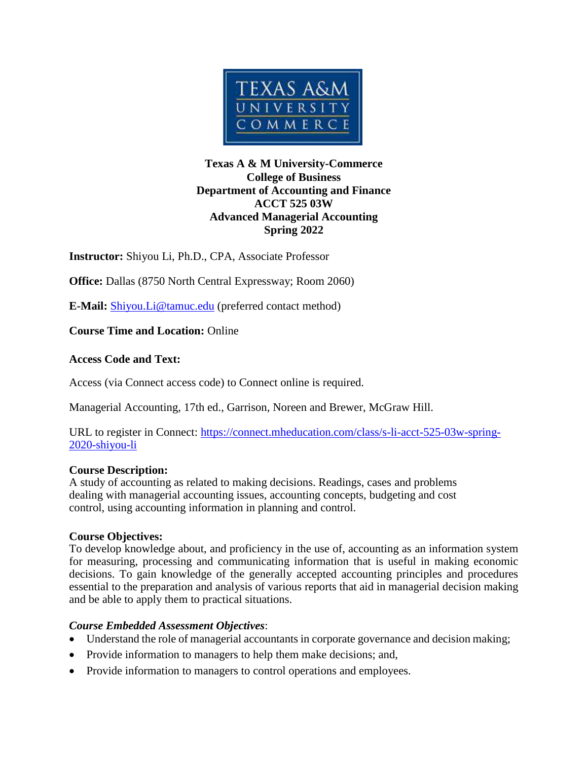

### **Texas A & M University-Commerce College of Business Department of Accounting and Finance ACCT 525 03W Advanced Managerial Accounting Spring 2022**

**Instructor:** Shiyou Li, Ph.D., CPA, Associate Professor

**Office:** Dallas (8750 North Central Expressway; Room 2060)

**E-Mail:** [Shiyou.Li@tamuc.edu](mailto:Shiyou.Li@tamuc.edu) (preferred contact method)

**Course Time and Location:** Online

## **Access Code and Text:**

Access (via Connect access code) to Connect online is required.

Managerial Accounting, 17th ed., Garrison, Noreen and Brewer, McGraw Hill.

URL to register in Connect: [https://connect.mheducation.com/class/s-li-acct-525-03w-spring-](https://connect.mheducation.com/class/s-li-acct-525-03w-spring-2020-shiyou-li)[2020-shiyou-li](https://connect.mheducation.com/class/s-li-acct-525-03w-spring-2020-shiyou-li)

## **Course Description:**

A study of accounting as related to making decisions. Readings, cases and problems dealing with managerial accounting issues, accounting concepts, budgeting and cost control, using accounting information in planning and control.

## **Course Objectives:**

To develop knowledge about, and proficiency in the use of, accounting as an information system for measuring, processing and communicating information that is useful in making economic decisions. To gain knowledge of the generally accepted accounting principles and procedures essential to the preparation and analysis of various reports that aid in managerial decision making and be able to apply them to practical situations.

## *Course Embedded Assessment Objectives*:

- Understand the role of managerial accountants in corporate governance and decision making;
- Provide information to managers to help them make decisions; and,
- Provide information to managers to control operations and employees.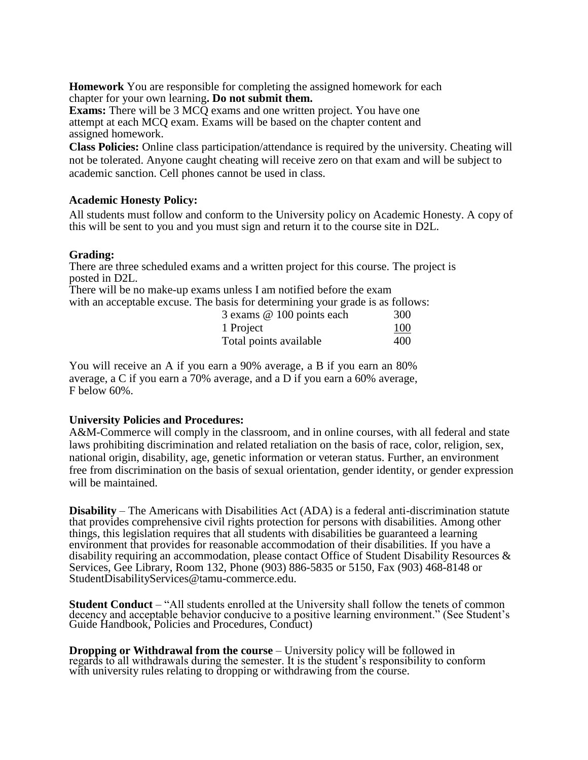**Homework** You are responsible for completing the assigned homework for each chapter for your own learning**. Do not submit them.**

**Exams:** There will be 3 MCQ exams and one written project. You have one attempt at each MCQ exam. Exams will be based on the chapter content and assigned homework.

**Class Policies:** Online class participation/attendance is required by the university. Cheating will not be tolerated. Anyone caught cheating will receive zero on that exam and will be subject to academic sanction. Cell phones cannot be used in class.

### **Academic Honesty Policy:**

All students must follow and conform to the University policy on Academic Honesty. A copy of this will be sent to you and you must sign and return it to the course site in D2L.

#### **Grading:**

There are three scheduled exams and a written project for this course. The project is posted in D2L.

There will be no make-up exams unless I am notified before the exam with an acceptable excuse. The basis for determining your grade is as follows:

| 3 exams @ 100 points each | 300 |
|---------------------------|-----|
| 1 Project                 | 100 |
| Total points available    | 400 |

You will receive an A if you earn a 90% average, a B if you earn an 80% average, a C if you earn a 70% average, and a D if you earn a 60% average, F below 60%.

#### **University Policies and Procedures:**

A&M-Commerce will comply in the classroom, and in online courses, with all federal and state laws prohibiting discrimination and related retaliation on the basis of race, color, religion, sex, national origin, disability, age, genetic information or veteran status. Further, an environment free from discrimination on the basis of sexual orientation, gender identity, or gender expression will be maintained.

**Disability** – The Americans with Disabilities Act (ADA) is a federal anti-discrimination statute that provides comprehensive civil rights protection for persons with disabilities. Among other things, this legislation requires that all students with disabilities be guaranteed a learning environment that provides for reasonable accommodation of their disabilities. If you have a disability requiring an accommodation, please contact Office of Student Disability Resources  $\&$ Services, Gee Library, Room 132, Phone (903) 886-5835 or 5150, Fax (903) 468-8148 or StudentDisabilityServices@tamu-commerce.edu.

**Student Conduct** – "All students enrolled at the University shall follow the tenets of common decency and acceptable behavior conducive to a positive learning environment." (See Student's Guide Handbook, Policies and Procedures, Conduct)

**Dropping or Withdrawal from the course** – University policy will be followed in regards to all withdrawals during the semester. It is the student's responsibility to conform with university rules relating to dropping or withdrawing from the course.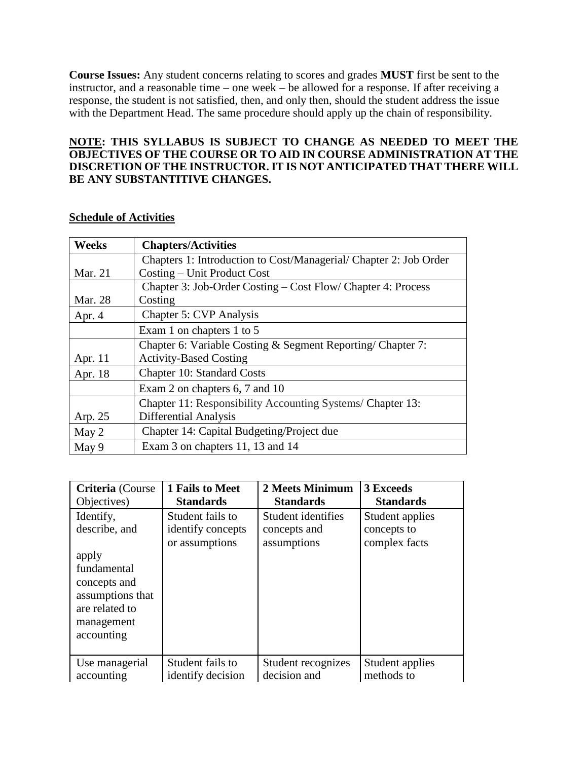**Course Issues:** Any student concerns relating to scores and grades **MUST** first be sent to the instructor, and a reasonable time – one week – be allowed for a response. If after receiving a response, the student is not satisfied, then, and only then, should the student address the issue with the Department Head. The same procedure should apply up the chain of responsibility.

#### **NOTE: THIS SYLLABUS IS SUBJECT TO CHANGE AS NEEDED TO MEET THE OBJECTIVES OF THE COURSE OR TO AID IN COURSE ADMINISTRATION AT THE DISCRETION OF THE INSTRUCTOR. IT IS NOT ANTICIPATED THAT THERE WILL BE ANY SUBSTANTITIVE CHANGES.**

| <b>Weeks</b>   | <b>Chapters/Activities</b>                                        |
|----------------|-------------------------------------------------------------------|
|                | Chapters 1: Introduction to Cost/Managerial/ Chapter 2: Job Order |
| <b>Mar. 21</b> | Costing – Unit Product Cost                                       |
|                | Chapter 3: Job-Order Costing – Cost Flow/ Chapter 4: Process      |
| Mar. 28        | Costing                                                           |
| Apr. 4         | <b>Chapter 5: CVP Analysis</b>                                    |
|                | Exam 1 on chapters 1 to 5                                         |
|                | Chapter 6: Variable Costing & Segment Reporting/Chapter 7:        |
| Apr. 11        | <b>Activity-Based Costing</b>                                     |
| Apr. 18        | <b>Chapter 10: Standard Costs</b>                                 |
|                | Exam 2 on chapters 6, 7 and 10                                    |
|                | Chapter 11: Responsibility Accounting Systems/ Chapter 13:        |
| Arp. 25        | Differential Analysis                                             |
| May 2          | Chapter 14: Capital Budgeting/Project due                         |
| May 9          | Exam 3 on chapters 11, 13 and 14                                  |

### **Schedule of Activities**

| Criteria (Course                                                                                                                     | 1 Fails to Meet                                         | 2 Meets Minimum                                   | <b>3 Exceeds</b>                                |
|--------------------------------------------------------------------------------------------------------------------------------------|---------------------------------------------------------|---------------------------------------------------|-------------------------------------------------|
| Objectives)                                                                                                                          | <b>Standards</b>                                        | <b>Standards</b>                                  | <b>Standards</b>                                |
| Identify,<br>describe, and<br>apply<br>fundamental<br>concepts and<br>assumptions that<br>are related to<br>management<br>accounting | Student fails to<br>identify concepts<br>or assumptions | Student identifies<br>concepts and<br>assumptions | Student applies<br>concepts to<br>complex facts |
| Use managerial                                                                                                                       | Student fails to                                        | Student recognizes                                | Student applies                                 |
| accounting                                                                                                                           | identify decision                                       | decision and                                      | methods to                                      |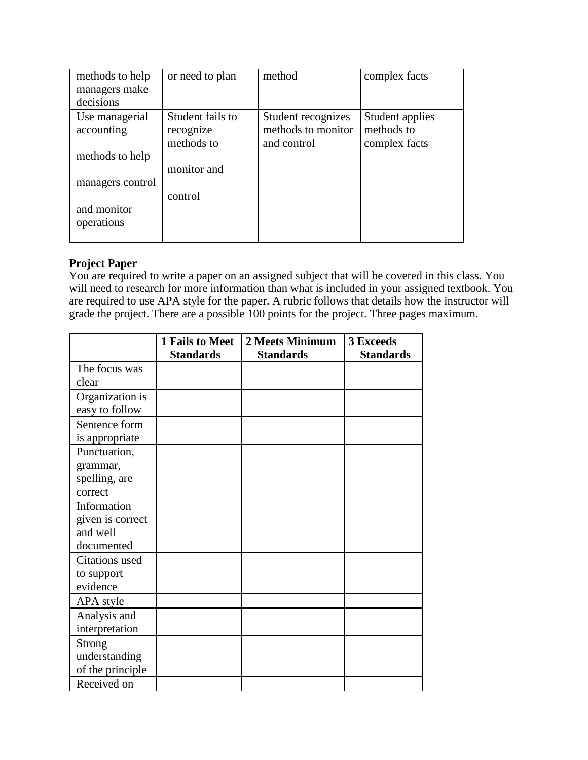| methods to help<br>managers make<br>decisions | or need to plan                             | method                                                  | complex facts                                  |
|-----------------------------------------------|---------------------------------------------|---------------------------------------------------------|------------------------------------------------|
| Use managerial<br>accounting                  | Student fails to<br>recognize<br>methods to | Student recognizes<br>methods to monitor<br>and control | Student applies<br>methods to<br>complex facts |
| methods to help                               |                                             |                                                         |                                                |
|                                               | monitor and                                 |                                                         |                                                |
| managers control                              |                                             |                                                         |                                                |
|                                               | control                                     |                                                         |                                                |
| and monitor                                   |                                             |                                                         |                                                |
| operations                                    |                                             |                                                         |                                                |

# **Project Paper**

You are required to write a paper on an assigned subject that will be covered in this class. You will need to research for more information than what is included in your assigned textbook. You are required to use APA style for the paper. A rubric follows that details how the instructor will grade the project. There are a possible 100 points for the project. Three pages maximum.

|                  | 1 Fails to Meet  | 2 Meets Minimum  | 3 Exceeds        |
|------------------|------------------|------------------|------------------|
|                  | <b>Standards</b> | <b>Standards</b> | <b>Standards</b> |
| The focus was    |                  |                  |                  |
| clear            |                  |                  |                  |
| Organization is  |                  |                  |                  |
| easy to follow   |                  |                  |                  |
| Sentence form    |                  |                  |                  |
| is appropriate   |                  |                  |                  |
| Punctuation,     |                  |                  |                  |
| grammar,         |                  |                  |                  |
| spelling, are    |                  |                  |                  |
| correct          |                  |                  |                  |
| Information      |                  |                  |                  |
| given is correct |                  |                  |                  |
| and well         |                  |                  |                  |
| documented       |                  |                  |                  |
| Citations used   |                  |                  |                  |
| to support       |                  |                  |                  |
| evidence         |                  |                  |                  |
| APA style        |                  |                  |                  |
| Analysis and     |                  |                  |                  |
| interpretation   |                  |                  |                  |
| <b>Strong</b>    |                  |                  |                  |
| understanding    |                  |                  |                  |
| of the principle |                  |                  |                  |
| Received on      |                  |                  |                  |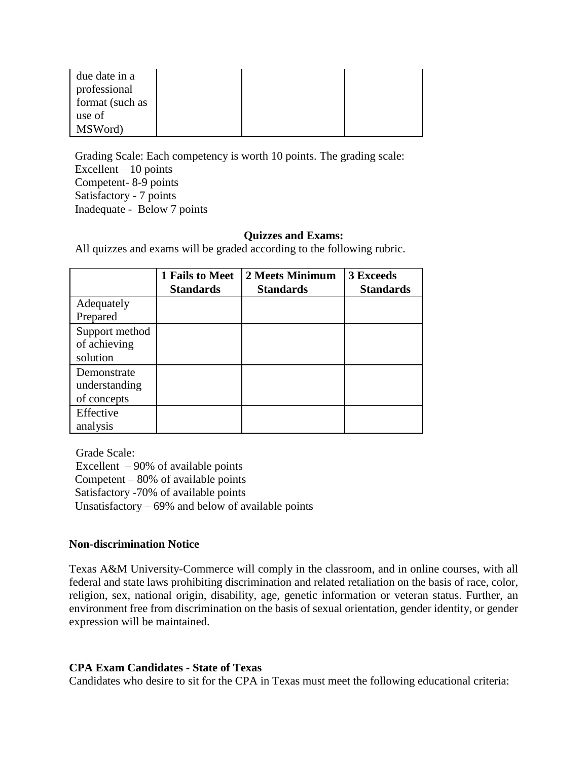| due date in a   |  |  |
|-----------------|--|--|
| professional    |  |  |
| format (such as |  |  |
| use of          |  |  |
| MSWord)         |  |  |

Grading Scale: Each competency is worth 10 points. The grading scale: Excellent – 10 points Competent- 8-9 points Satisfactory - 7 points Inadequate - Below 7 points

#### **Quizzes and Exams:**

All quizzes and exams will be graded according to the following rubric.

|                                             | 1 Fails to Meet<br><b>Standards</b> | 2 Meets Minimum<br><b>Standards</b> | <b>3 Exceeds</b><br><b>Standards</b> |
|---------------------------------------------|-------------------------------------|-------------------------------------|--------------------------------------|
| Adequately<br>Prepared                      |                                     |                                     |                                      |
| Support method<br>of achieving<br>solution  |                                     |                                     |                                      |
| Demonstrate<br>understanding<br>of concepts |                                     |                                     |                                      |
| Effective<br>analysis                       |                                     |                                     |                                      |

Grade Scale: Excellent – 90% of available points Competent – 80% of available points Satisfactory -70% of available points Unsatisfactory  $-69\%$  and below of available points

#### **Non-discrimination Notice**

Texas A&M University-Commerce will comply in the classroom, and in online courses, with all federal and state laws prohibiting discrimination and related retaliation on the basis of race, color, religion, sex, national origin, disability, age, genetic information or veteran status. Further, an environment free from discrimination on the basis of sexual orientation, gender identity, or gender expression will be maintained.

#### **CPA Exam Candidates - State of Texas**

Candidates who desire to sit for the CPA in Texas must meet the following educational criteria: